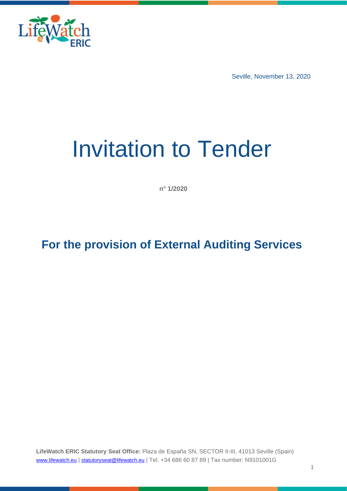

Seville, November 13, 2020

# Invitation to Tender

**n° 1/2020**

# **For the provision of External Auditing Services**

**LifeWatch ERIC Statutory Seat Office:** Plaza de España SN, SECTOR II-III, 41013 Seville (Spain) [www.lifewatch.eu](http://www.lifewatch.eu/) | [statutoryseat@lifewatch.eu](mailto:statutoryseat@lifewatch.eu) | Tel. +34 686 60 87 89 | Tax number: N9101001G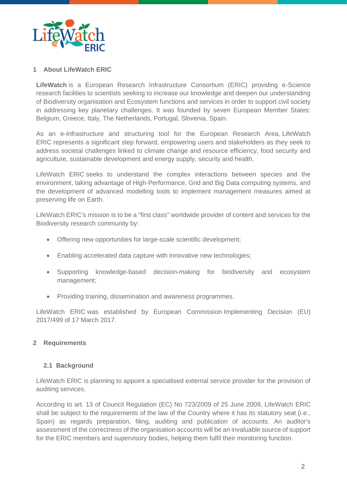

# **1 About LifeWatch ERIC**

**LifeWatch** is a European Research Infrastructure Consortium (ERIC) providing e-Science research facilities to scientists seeking to increase our knowledge and deepen our understanding of Biodiversity organisation and Ecosystem functions and services in order to support civil society in addressing key planetary challenges. It was founded by seven European Member States: Belgium, Greece, Italy, The Netherlands, Portugal, Slovenia, Spain.

As an e-Infrastructure and structuring tool for the European Research Area, LifeWatch ERIC represents a significant step forward, empowering users and stakeholders as they seek to address societal challenges linked to climate change and resource efficiency, food security and agriculture, sustainable development and energy supply, security and health.

LifeWatch ERIC seeks to understand the complex interactions between species and the environment, taking advantage of High-Performance, Grid and Big Data computing systems, and the development of advanced modelling tools to implement management measures aimed at preserving life on Earth.

LifeWatch ERIC's mission is to be a "first class" worldwide provider of content and services for the Biodiversity research community by:

- Offering new opportunities for large-scale scientific development;
- Enabling accelerated data capture with innovative new technologies;
- Supporting knowledge-based decision-making for biodiversity and ecosystem management;
- Providing training, dissemination and awareness programmes.

LifeWatch ERIC was established by European Commission [Implementing Decision \(EU\)](https://www.lifewatch.eu/web/guest/documents/10181/1296250/implementing_decision_499_2017_EN.pdf/e32a6315-3c46-4fcf-83eb-8174647cea60)  [2017/499](https://www.lifewatch.eu/web/guest/documents/10181/1296250/implementing_decision_499_2017_EN.pdf/e32a6315-3c46-4fcf-83eb-8174647cea60) of 17 March 2017.

## **2 Requirements**

## **2.1 Background**

LifeWatch ERIC is planning to appoint a specialised external service provider for the provision of auditing services.

According to art. 13 of Council Regulation (EC) No 723/2009 of 25 June 2009, LifeWatch ERIC shall be subject to the requirements of the law of the Country where it has its statutory seat (i.e., Spain) as regards preparation, filing, auditing and publication of accounts. An auditor's assessment of the correctness of the organisation accounts will be an invaluable source of support for the ERIC members and supervisory bodies, helping them fulfil their monitoring function.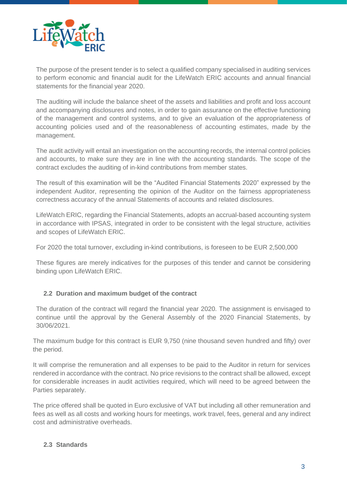

The purpose of the present tender is to select a qualified company specialised in auditing services to perform economic and financial audit for the LifeWatch ERIC accounts and annual financial statements for the financial year 2020.

The auditing will include the balance sheet of the assets and liabilities and profit and loss account and accompanying disclosures and notes, in order to gain assurance on the effective functioning of the management and control systems, and to give an evaluation of the appropriateness of accounting policies used and of the reasonableness of accounting estimates, made by the management.

The audit activity will entail an investigation on the accounting records, the internal control policies and accounts, to make sure they are in line with the accounting standards. The scope of the contract excludes the auditing of in-kind contributions from member states.

The result of this examination will be the "Audited Financial Statements 2020" expressed by the independent Auditor, representing the opinion of the Auditor on the fairness appropriateness correctness accuracy of the annual Statements of accounts and related disclosures.

LifeWatch ERIC, regarding the Financial Statements, adopts an accrual-based accounting system in accordance with IPSAS, integrated in order to be consistent with the legal structure, activities and scopes of LifeWatch ERIC.

For 2020 the total turnover, excluding in-kind contributions, is foreseen to be EUR 2,500,000

These figures are merely indicatives for the purposes of this tender and cannot be considering binding upon LifeWatch ERIC.

# **2.2 Duration and maximum budget of the contract**

The duration of the contract will regard the financial year 2020. The assignment is envisaged to continue until the approval by the General Assembly of the 2020 Financial Statements, by 30/06/2021.

The maximum budge for this contract is EUR 9,750 (nine thousand seven hundred and fifty) over the period.

It will comprise the remuneration and all expenses to be paid to the Auditor in return for services rendered in accordance with the contract. No price revisions to the contract shall be allowed, except for considerable increases in audit activities required, which will need to be agreed between the Parties separately.

The price offered shall be quoted in Euro exclusive of VAT but including all other remuneration and fees as well as all costs and working hours for meetings, work travel, fees, general and any indirect cost and administrative overheads.

# **2.3 Standards**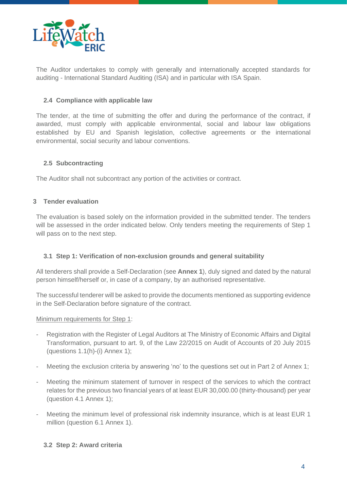

The Auditor undertakes to comply with generally and internationally accepted standards for auditing - International Standard Auditing (ISA) and in particular with ISA Spain.

# **2.4 Compliance with applicable law**

The tender, at the time of submitting the offer and during the performance of the contract, if awarded, must comply with applicable environmental, social and labour law obligations established by EU and Spanish legislation, collective agreements or the international environmental, social security and labour conventions.

# **2.5 Subcontracting**

The Auditor shall not subcontract any portion of the activities or contract.

# **3 Tender evaluation**

The evaluation is based solely on the information provided in the submitted tender. The tenders will be assessed in the order indicated below. Only tenders meeting the requirements of Step 1 will pass on to the next step.

# **3.1 Step 1: Verification of non-exclusion grounds and general suitability**

All tenderers shall provide a Self-Declaration (see **Annex 1**), duly signed and dated by the natural person himself/herself or, in case of a company, by an authorised representative.

The successful tenderer will be asked to provide the documents mentioned as supporting evidence in the Self-Declaration before signature of the contract.

## Minimum requirements for Step 1:

- Registration with the Register of Legal Auditors at The Ministry of Economic Affairs and Digital Transformation, pursuant to art. 9, of the Law 22/2015 on Audit of Accounts of 20 July 2015 (questions  $1.1(h)-(i)$  Annex  $1$ );
- Meeting the exclusion criteria by answering 'no' to the questions set out in Part 2 of Annex 1;
- Meeting the minimum statement of turnover in respect of the services to which the contract relates for the previous two financial years of at least EUR 30,000.00 (thirty-thousand) per year (question 4.1 Annex 1);
- Meeting the minimum level of professional risk indemnity insurance, which is at least EUR 1 million (question 6.1 Annex 1).

## **3.2 Step 2: Award criteria**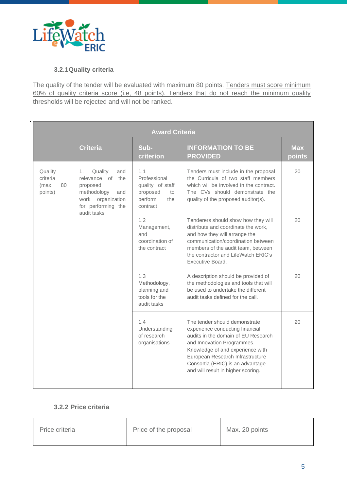

.

# **3.2.1Quality criteria**

The quality of the tender will be evaluated with maximum 80 points. Tenders must score minimum 60% of quality criteria score (i.e, 48 points). Tenders that do not reach the minimum quality thresholds will be rejected and will not be ranked.

| <b>Award Criteria</b>                         |                                                                                                                                         |                                                                                         |                                                                                                                                                                                                                                                                                         |                      |  |
|-----------------------------------------------|-----------------------------------------------------------------------------------------------------------------------------------------|-----------------------------------------------------------------------------------------|-----------------------------------------------------------------------------------------------------------------------------------------------------------------------------------------------------------------------------------------------------------------------------------------|----------------------|--|
|                                               | <b>Criteria</b>                                                                                                                         | Sub-<br>criterion                                                                       | <b>INFORMATION TO BE</b><br><b>PROVIDED</b>                                                                                                                                                                                                                                             | <b>Max</b><br>points |  |
| Quality<br>criteria<br>80<br>(max.<br>points) | Quality<br>1.<br>and<br>relevance of<br>the<br>proposed<br>methodology<br>and<br>work organization<br>for performing the<br>audit tasks | 1.1<br>Professional<br>quality of staff<br>proposed<br>to<br>perform<br>the<br>contract | Tenders must include in the proposal<br>the Curricula of two staff members<br>which will be involved in the contract.<br>The CVs should demonstrate the<br>quality of the proposed auditor(s).                                                                                          | 20                   |  |
|                                               |                                                                                                                                         | 1.2<br>Management,<br>and<br>coordination of<br>the contract                            | Tenderers should show how they will<br>distribute and coordinate the work,<br>and how they will arrange the<br>communication/coordination between<br>members of the audit team, between<br>the contractor and LifeWatch FRIC's<br>Executive Board.                                      | 20                   |  |
|                                               |                                                                                                                                         | 1.3<br>Methodology,<br>planning and<br>tools for the<br>audit tasks                     | A description should be provided of<br>the methodologies and tools that will<br>be used to undertake the different<br>audit tasks defined for the call.                                                                                                                                 | 20                   |  |
|                                               |                                                                                                                                         | 1.4<br>Understanding<br>of research<br>organisations                                    | The tender should demonstrate<br>experience conducting financial<br>audits in the domain of EU Research<br>and Innovation Programmes.<br>Knowledge of and experience with<br>European Research Infrastructure<br>Consortia (ERIC) is an advantage<br>and will result in higher scoring. | 20                   |  |

# **3.2.2 Price criteria**

| Price criteria | Price of the proposal | Max. 20 points |
|----------------|-----------------------|----------------|
|----------------|-----------------------|----------------|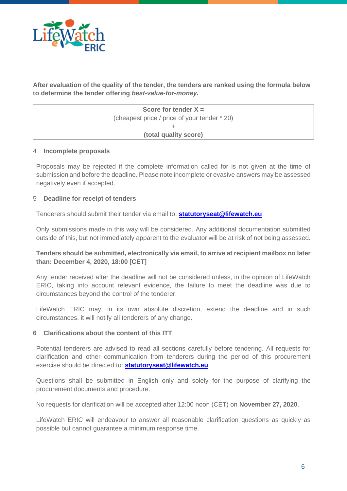

**After evaluation of the quality of the tender, the tenders are ranked using the formula below to determine the tender offering** *best-value-for-money.*

> **Score for tender X =** (cheapest price / price of your tender \* 20)  $\pm$ **(total quality score)**

#### 4 **Incomplete proposals**

Proposals may be rejected if the complete information called for is not given at the time of submission and before the deadline. Please note incomplete or evasive answers may be assessed negatively even if accepted.

## 5 **Deadline for receipt of tenders**

Tenderers should submit their tender via email to: **[statutoryseat@lifewatch.eu](mailto:statutoryseat@lifewatch.eu)**

Only submissions made in this way will be considered. Any additional documentation submitted outside of this, but not immediately apparent to the evaluator will be at risk of not being assessed.

# **Tenders should be submitted, electronically via email, to arrive at recipient mailbox no later than: December 4, 2020, 18:00 [CET]**

Any tender received after the deadline will not be considered unless, in the opinion of LifeWatch ERIC, taking into account relevant evidence, the failure to meet the deadline was due to circumstances beyond the control of the tenderer.

LifeWatch ERIC may, in its own absolute discretion, extend the deadline and in such circumstances, it will notify all tenderers of any change.

## **6 Clarifications about the content of this ITT**

Potential tenderers are advised to read all sections carefully before tendering. All requests for clarification and other communication from tenderers during the period of this procurement exercise should be directed to: **[statutoryseat@lifewatch.eu](mailto:statutoryseat@lifewatch.eu)**

Questions shall be submitted in English only and solely for the purpose of clarifying the procurement documents and procedure.

No requests for clarification will be accepted after 12:00 noon (CET) on **November 27, 2020**.

LifeWatch ERIC will endeavour to answer all reasonable clarification questions as quickly as possible but cannot guarantee a minimum response time.